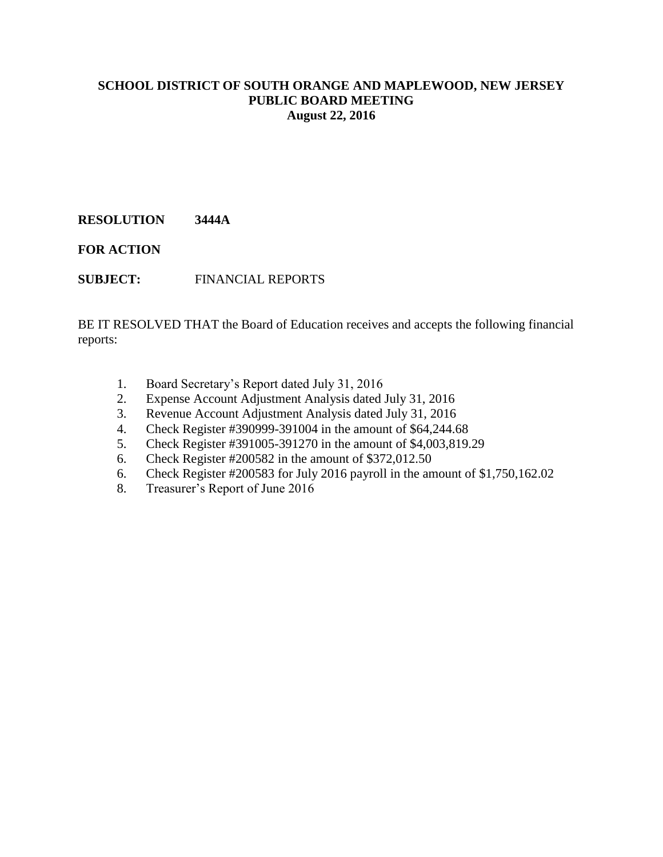# **RESOLUTION 3444A**

**FOR ACTION**

**SUBJECT:** FINANCIAL REPORTS

BE IT RESOLVED THAT the Board of Education receives and accepts the following financial reports:

- 1. Board Secretary's Report dated July 31, 2016
- 2. Expense Account Adjustment Analysis dated July 31, 2016
- 3. Revenue Account Adjustment Analysis dated July 31, 2016
- 4. Check Register #390999-391004 in the amount of \$64,244.68
- 5. Check Register #391005-391270 in the amount of \$4,003,819.29
- 6. Check Register #200582 in the amount of \$372,012.50
- 6. Check Register #200583 for July 2016 payroll in the amount of \$1,750,162.02
- 8. Treasurer's Report of June 2016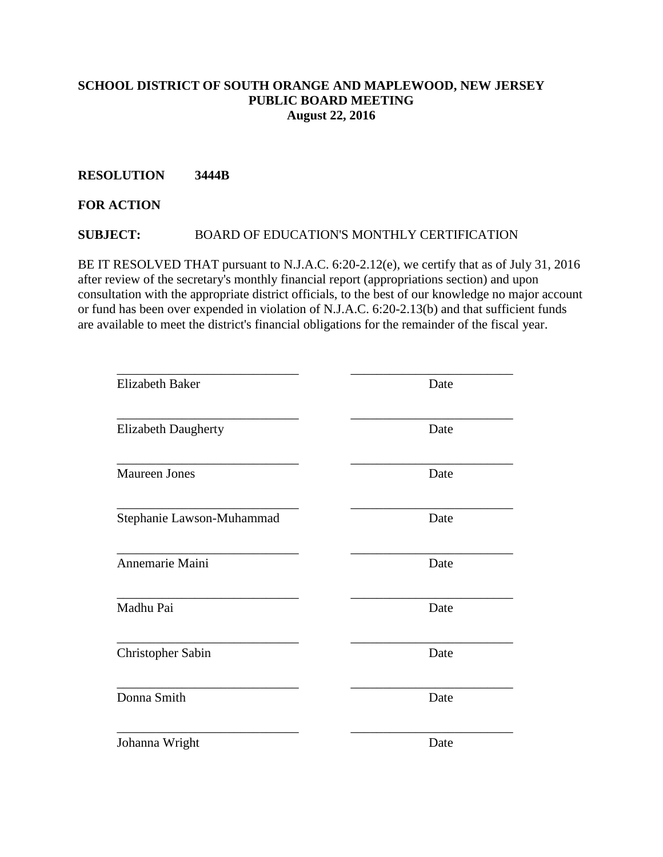## **RESOLUTION 3444B**

## **FOR ACTION**

# **SUBJECT:** BOARD OF EDUCATION'S MONTHLY CERTIFICATION

BE IT RESOLVED THAT pursuant to N.J.A.C. 6:20-2.12(e), we certify that as of July 31, 2016 after review of the secretary's monthly financial report (appropriations section) and upon consultation with the appropriate district officials, to the best of our knowledge no major account or fund has been over expended in violation of N.J.A.C. 6:20-2.13(b) and that sufficient funds are available to meet the district's financial obligations for the remainder of the fiscal year.

| <b>Elizabeth Baker</b>     | Date |
|----------------------------|------|
| <b>Elizabeth Daugherty</b> | Date |
| <b>Maureen Jones</b>       | Date |
| Stephanie Lawson-Muhammad  | Date |
| Annemarie Maini            | Date |
| Madhu Pai                  | Date |
| <b>Christopher Sabin</b>   | Date |
| Donna Smith                | Date |
| Johanna Wright             | Date |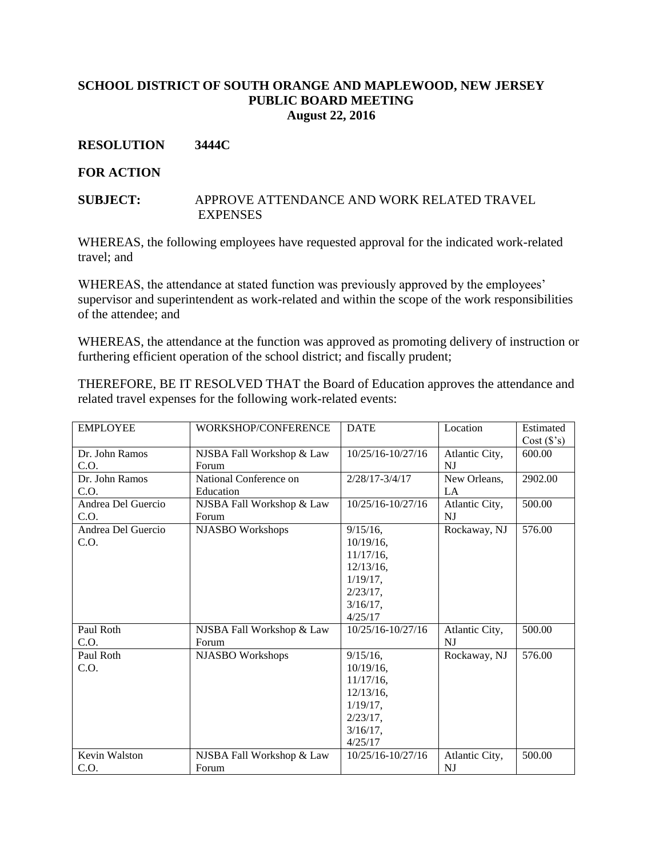#### **RESOLUTION 3444C**

#### **FOR ACTION**

#### **SUBJECT:** APPROVE ATTENDANCE AND WORK RELATED TRAVEL **EXPENSES**

WHEREAS, the following employees have requested approval for the indicated work-related travel; and

WHEREAS, the attendance at stated function was previously approved by the employees' supervisor and superintendent as work-related and within the scope of the work responsibilities of the attendee; and

WHEREAS, the attendance at the function was approved as promoting delivery of instruction or furthering efficient operation of the school district; and fiscally prudent;

THEREFORE, BE IT RESOLVED THAT the Board of Education approves the attendance and related travel expenses for the following work-related events:

| <b>EMPLOYEE</b>    | WORKSHOP/CONFERENCE       | <b>DATE</b>        | Location       | Estimated |
|--------------------|---------------------------|--------------------|----------------|-----------|
|                    |                           |                    |                | Cost(S's) |
| Dr. John Ramos     | NJSBA Fall Workshop & Law | 10/25/16-10/27/16  | Atlantic City, | 600.00    |
| C.O.               | Forum                     |                    | <b>NJ</b>      |           |
| Dr. John Ramos     | National Conference on    | $2/28/17 - 3/4/17$ | New Orleans,   | 2902.00   |
| C.O.               | Education                 |                    | LA             |           |
| Andrea Del Guercio | NJSBA Fall Workshop & Law | 10/25/16-10/27/16  | Atlantic City, | 500.00    |
| C.O.               | Forum                     |                    | NI             |           |
| Andrea Del Guercio | NJASBO Workshops          | $9/15/16$ ,        | Rockaway, NJ   | 576.00    |
| C.O.               |                           | $10/19/16$ ,       |                |           |
|                    |                           | $11/17/16$ ,       |                |           |
|                    |                           | $12/13/16$ ,       |                |           |
|                    |                           | $1/19/17$ ,        |                |           |
|                    |                           | $2/23/17$ ,        |                |           |
|                    |                           | $3/16/17$ ,        |                |           |
|                    |                           | 4/25/17            |                |           |
| Paul Roth          | NJSBA Fall Workshop & Law | 10/25/16-10/27/16  | Atlantic City, | 500.00    |
| C.O.               | Forum                     |                    | NJ             |           |
| Paul Roth          | NJASBO Workshops          | $9/15/16$ ,        | Rockaway, NJ   | 576.00    |
| C.O.               |                           | $10/19/16$ ,       |                |           |
|                    |                           | 11/17/16,          |                |           |
|                    |                           | $12/13/16$ ,       |                |           |
|                    |                           | $1/19/17$ .        |                |           |
|                    |                           | $2/23/17$ ,        |                |           |
|                    |                           | $3/16/17$ ,        |                |           |
|                    |                           | 4/25/17            |                |           |
| Kevin Walston      | NJSBA Fall Workshop & Law | 10/25/16-10/27/16  | Atlantic City, | 500.00    |
| C.O.               | Forum                     |                    | N <sub>J</sub> |           |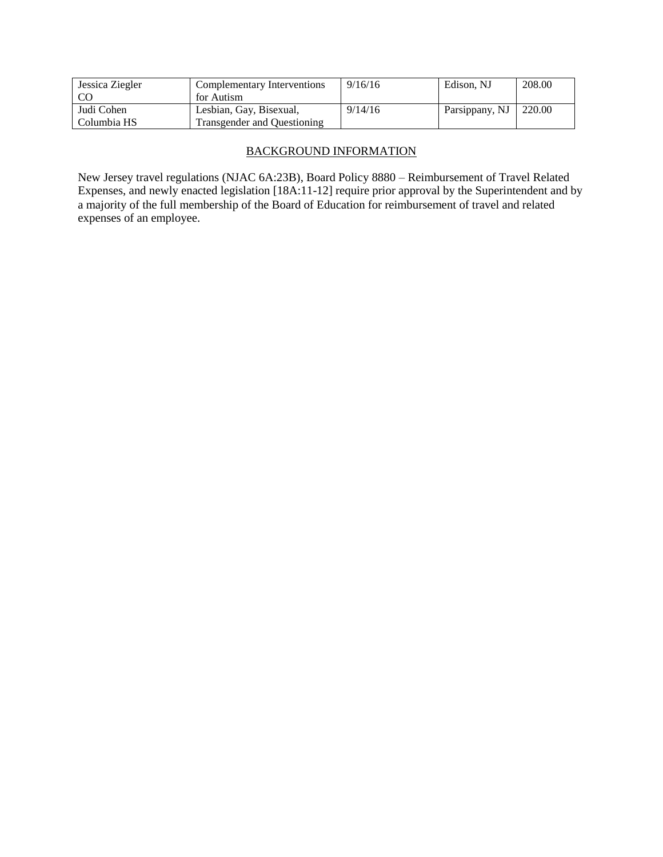| Jessica Ziegler | Complementary Interventions | 9/16/16 | Edison, NJ     | 208.00 |
|-----------------|-----------------------------|---------|----------------|--------|
|                 | for Autism                  |         |                |        |
| Judi Cohen      | Lesbian, Gay, Bisexual,     | 9/14/16 | Parsippany, NJ | 220.00 |
| Columbia HS     | Transgender and Questioning |         |                |        |

# BACKGROUND INFORMATION

New Jersey travel regulations (NJAC 6A:23B), Board Policy 8880 – Reimbursement of Travel Related Expenses, and newly enacted legislation [18A:11-12] require prior approval by the Superintendent and by a majority of the full membership of the Board of Education for reimbursement of travel and related expenses of an employee.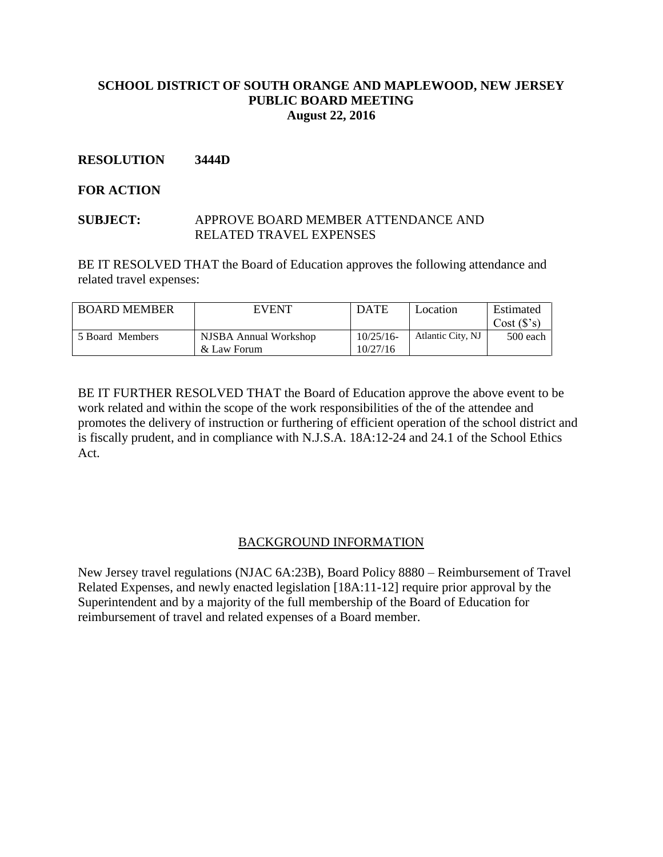## **RESOLUTION 3444D**

## **FOR ACTION**

#### **SUBJECT:** APPROVE BOARD MEMBER ATTENDANCE AND RELATED TRAVEL EXPENSES

BE IT RESOLVED THAT the Board of Education approves the following attendance and related travel expenses:

| <b>BOARD MEMBER</b> | <b>EVENT</b>          | <b>DATE</b> | Location          | Estimated |
|---------------------|-----------------------|-------------|-------------------|-----------|
|                     |                       |             |                   | Cost(S's) |
| 5 Board Members     | NJSBA Annual Workshop | 10/25/16    | Atlantic City, NJ | 500 each  |
|                     | & Law Forum           | 10/27/16    |                   |           |

BE IT FURTHER RESOLVED THAT the Board of Education approve the above event to be work related and within the scope of the work responsibilities of the of the attendee and promotes the delivery of instruction or furthering of efficient operation of the school district and is fiscally prudent, and in compliance with N.J.S.A. 18A:12-24 and 24.1 of the School Ethics Act.

#### BACKGROUND INFORMATION

New Jersey travel regulations (NJAC 6A:23B), Board Policy 8880 – Reimbursement of Travel Related Expenses, and newly enacted legislation [18A:11-12] require prior approval by the Superintendent and by a majority of the full membership of the Board of Education for reimbursement of travel and related expenses of a Board member.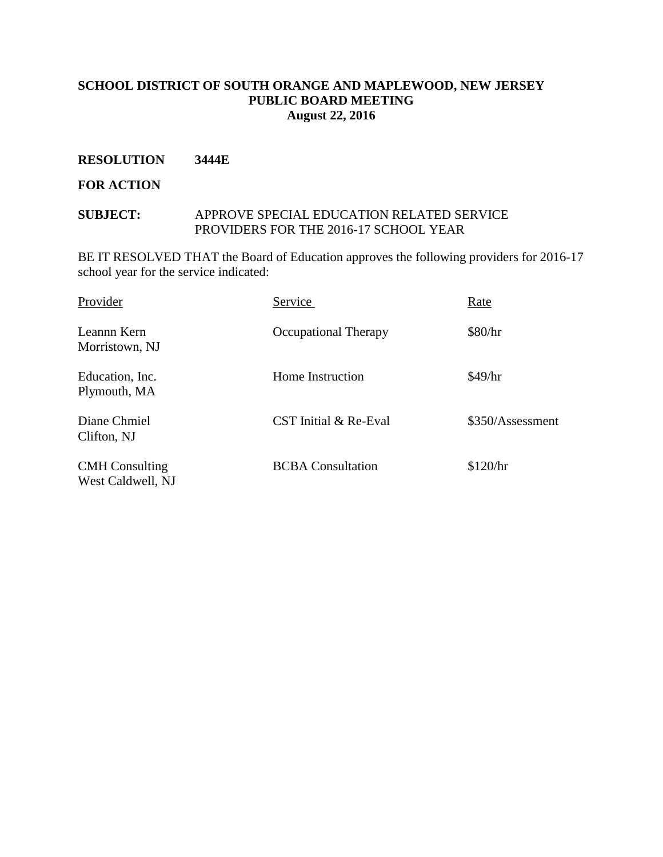#### **RESOLUTION 3444E**

#### **FOR ACTION**

#### **SUBJECT:** APPROVE SPECIAL EDUCATION RELATED SERVICE PROVIDERS FOR THE 2016-17 SCHOOL YEAR

BE IT RESOLVED THAT the Board of Education approves the following providers for 2016-17 school year for the service indicated:

| Provider                                   | Service                     | Rate             |
|--------------------------------------------|-----------------------------|------------------|
| Leannn Kern<br>Morristown, NJ              | <b>Occupational Therapy</b> | \$80/hr          |
| Education, Inc.<br>Plymouth, MA            | Home Instruction            | \$49/hr          |
| Diane Chmiel<br>Clifton, NJ                | CST Initial & Re-Eval       | \$350/Assessment |
| <b>CMH</b> Consulting<br>West Caldwell, NJ | <b>BCBA</b> Consultation    | \$120/hr         |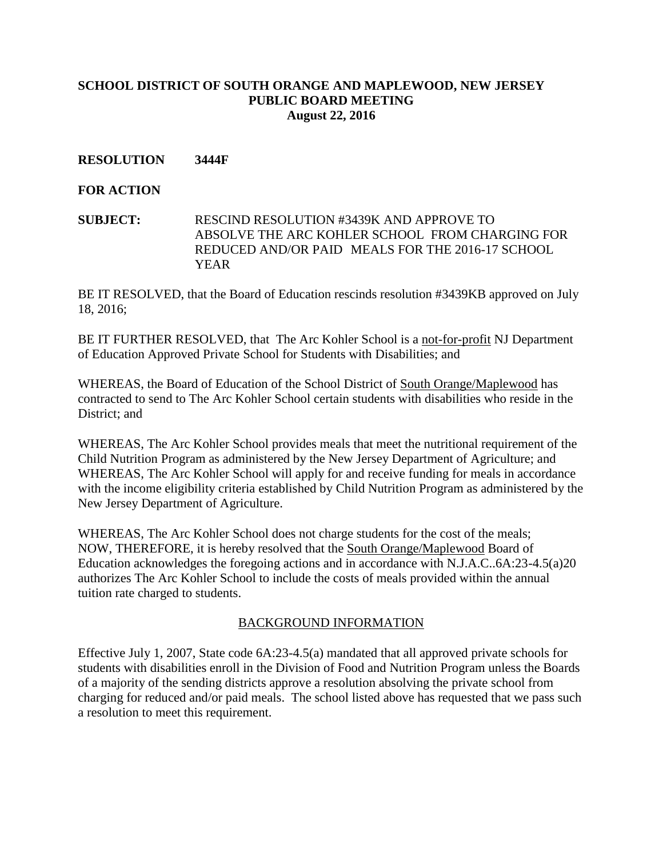# **RESOLUTION 3444F**

## **FOR ACTION**

**SUBJECT:** RESCIND RESOLUTION #3439K AND APPROVE TO ABSOLVE THE ARC KOHLER SCHOOL FROM CHARGING FOR REDUCED AND/OR PAID MEALS FOR THE 2016-17 SCHOOL YEAR

BE IT RESOLVED, that the Board of Education rescinds resolution #3439KB approved on July 18, 2016;

BE IT FURTHER RESOLVED, that The Arc Kohler School is a not-for-profit NJ Department of Education Approved Private School for Students with Disabilities; and

WHEREAS, the Board of Education of the School District of South Orange/Maplewood has contracted to send to The Arc Kohler School certain students with disabilities who reside in the District; and

WHEREAS, The Arc Kohler School provides meals that meet the nutritional requirement of the Child Nutrition Program as administered by the New Jersey Department of Agriculture; and WHEREAS, The Arc Kohler School will apply for and receive funding for meals in accordance with the income eligibility criteria established by Child Nutrition Program as administered by the New Jersey Department of Agriculture.

WHEREAS, The Arc Kohler School does not charge students for the cost of the meals; NOW, THEREFORE, it is hereby resolved that the South Orange/Maplewood Board of Education acknowledges the foregoing actions and in accordance with N.J.A.C..6A:23-4.5(a)20 authorizes The Arc Kohler School to include the costs of meals provided within the annual tuition rate charged to students.

#### BACKGROUND INFORMATION

Effective July 1, 2007, State code 6A:23-4.5(a) mandated that all approved private schools for students with disabilities enroll in the Division of Food and Nutrition Program unless the Boards of a majority of the sending districts approve a resolution absolving the private school from charging for reduced and/or paid meals. The school listed above has requested that we pass such a resolution to meet this requirement.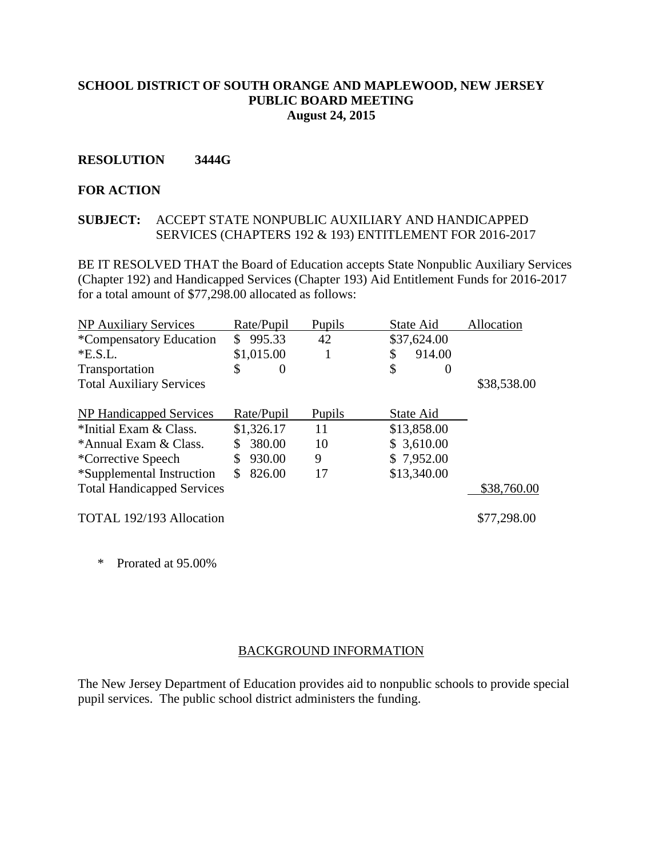#### **RESOLUTION 3444G**

#### **FOR ACTION**

#### **SUBJECT:** ACCEPT STATE NONPUBLIC AUXILIARY AND HANDICAPPED SERVICES (CHAPTERS 192 & 193) ENTITLEMENT FOR 2016-2017

BE IT RESOLVED THAT the Board of Education accepts State Nonpublic Auxiliary Services (Chapter 192) and Handicapped Services (Chapter 193) Aid Entitlement Funds for 2016-2017 for a total amount of \$77,298.00 allocated as follows:

| <b>NP Auxiliary Services</b>      | Rate/Pupil     | Pupils | State Aid      | Allocation  |
|-----------------------------------|----------------|--------|----------------|-------------|
| *Compensatory Education           | 995.33<br>\$   | 42     | \$37,624.00    |             |
| E.S.L.                            | \$1,015.00     |        | 914.00<br>\$   |             |
| Transportation                    | \$<br>$\theta$ |        | \$<br>$\theta$ |             |
| <b>Total Auxiliary Services</b>   |                |        |                | \$38,538.00 |
| NP Handicapped Services           | Rate/Pupil     | Pupils | State Aid      |             |
|                                   |                |        |                |             |
| *Initial Exam & Class.            | \$1,326.17     | 11     | \$13,858.00    |             |
| *Annual Exam & Class.             | 380.00         | 10     | \$3,610.00     |             |
| *Corrective Speech                | 930.00<br>S    | 9      | \$7,952.00     |             |
| *Supplemental Instruction         | 826.00<br>S.   | 17     | \$13,340.00    |             |
| <b>Total Handicapped Services</b> |                |        |                | \$38,760.00 |
| TOTAL 192/193 Allocation          |                |        |                | \$77,298.00 |

\* Prorated at 95.00%

#### BACKGROUND INFORMATION

The New Jersey Department of Education provides aid to nonpublic schools to provide special pupil services. The public school district administers the funding.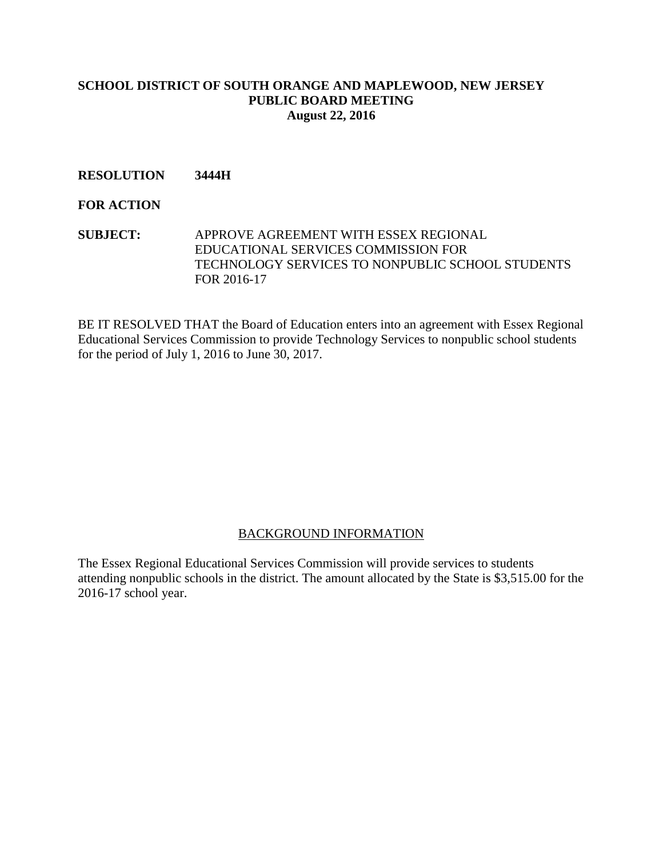# **RESOLUTION 3444H**

#### **FOR ACTION**

**SUBJECT:** APPROVE AGREEMENT WITH ESSEX REGIONAL EDUCATIONAL SERVICES COMMISSION FOR TECHNOLOGY SERVICES TO NONPUBLIC SCHOOL STUDENTS FOR 2016-17

BE IT RESOLVED THAT the Board of Education enters into an agreement with Essex Regional Educational Services Commission to provide Technology Services to nonpublic school students for the period of July 1, 2016 to June 30, 2017.

#### BACKGROUND INFORMATION

The Essex Regional Educational Services Commission will provide services to students attending nonpublic schools in the district. The amount allocated by the State is \$3,515.00 for the 2016-17 school year.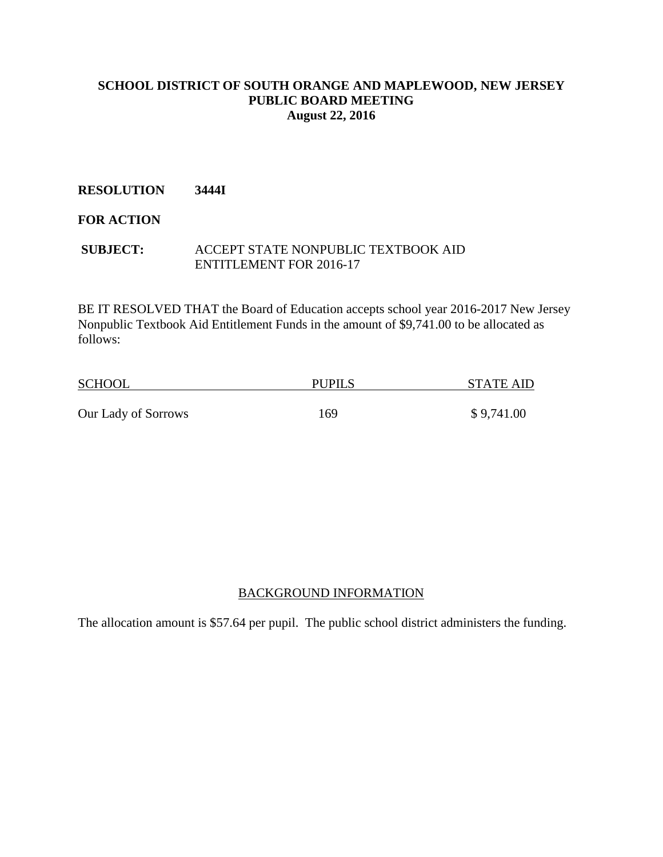# **RESOLUTION 3444I**

# **FOR ACTION**

#### **SUBJECT:** ACCEPT STATE NONPUBLIC TEXTBOOK AID ENTITLEMENT FOR 2016-17

BE IT RESOLVED THAT the Board of Education accepts school year 2016-2017 New Jersey Nonpublic Textbook Aid Entitlement Funds in the amount of \$9,741.00 to be allocated as follows:

| <b>SCHOOL</b>       | <b>PUPILS</b> |            |
|---------------------|---------------|------------|
|                     |               |            |
| Our Lady of Sorrows | 169           | \$9,741.00 |

# BACKGROUND INFORMATION

The allocation amount is \$57.64 per pupil. The public school district administers the funding.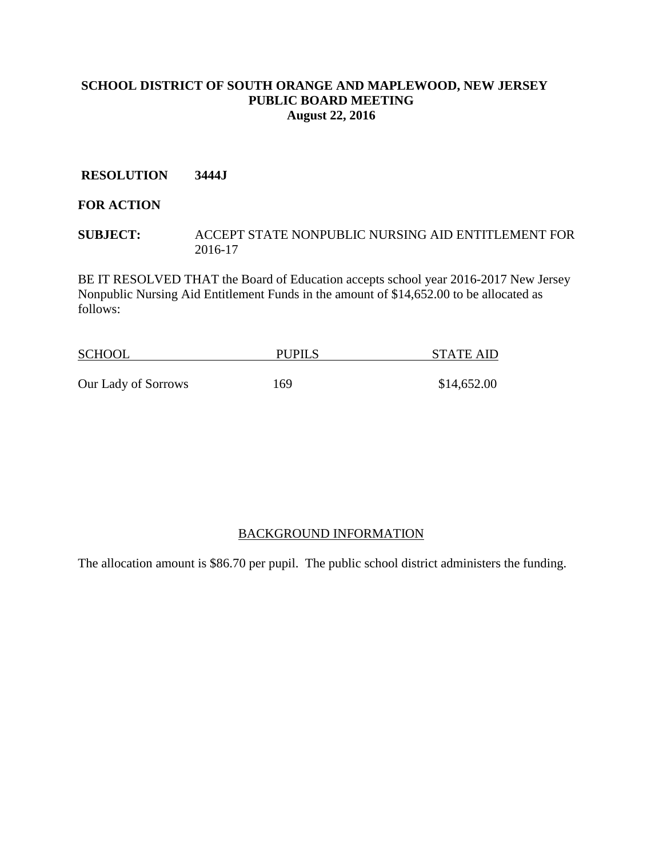#### **RESOLUTION 3444J**

# **FOR ACTION**

**SUBJECT:** ACCEPT STATE NONPUBLIC NURSING AID ENTITLEMENT FOR 2016-17

BE IT RESOLVED THAT the Board of Education accepts school year 2016-2017 New Jersey Nonpublic Nursing Aid Entitlement Funds in the amount of \$14,652.00 to be allocated as follows:

| <b>SCHOOL</b>       | <b>PUPILS</b> | <b>STATE AID</b> |  |
|---------------------|---------------|------------------|--|
|                     |               |                  |  |
| Our Lady of Sorrows | 169           | \$14,652.00      |  |

#### BACKGROUND INFORMATION

The allocation amount is \$86.70 per pupil. The public school district administers the funding.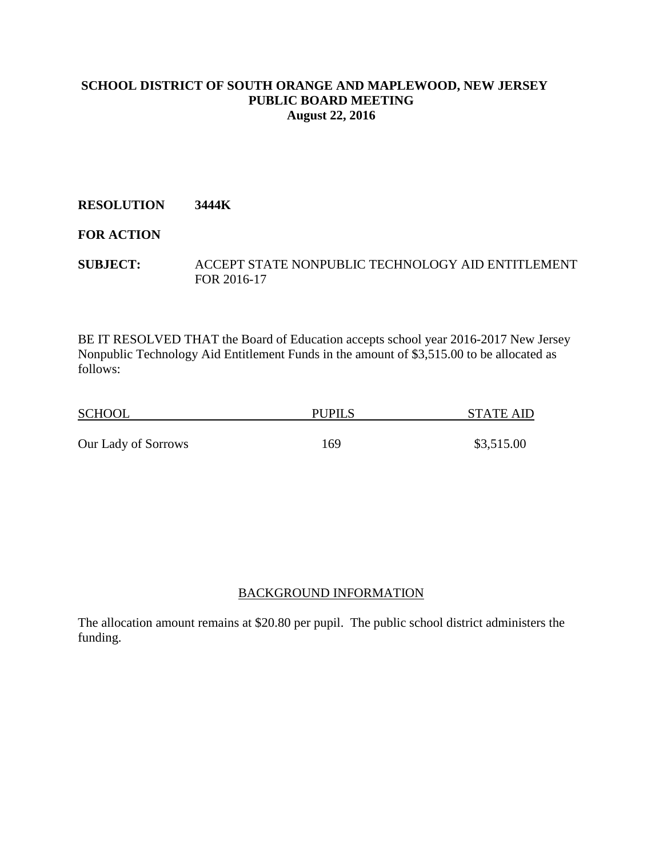# **RESOLUTION 3444K**

# **FOR ACTION**

**SUBJECT:** ACCEPT STATE NONPUBLIC TECHNOLOGY AID ENTITLEMENT FOR 2016-17

BE IT RESOLVED THAT the Board of Education accepts school year 2016-2017 New Jersey Nonpublic Technology Aid Entitlement Funds in the amount of \$3,515.00 to be allocated as follows:

| <b>SCHOOL</b>       | <b>PUPILS</b> | STATE AID  |
|---------------------|---------------|------------|
| Our Lady of Sorrows | 169           | \$3,515.00 |

# BACKGROUND INFORMATION

The allocation amount remains at \$20.80 per pupil. The public school district administers the funding.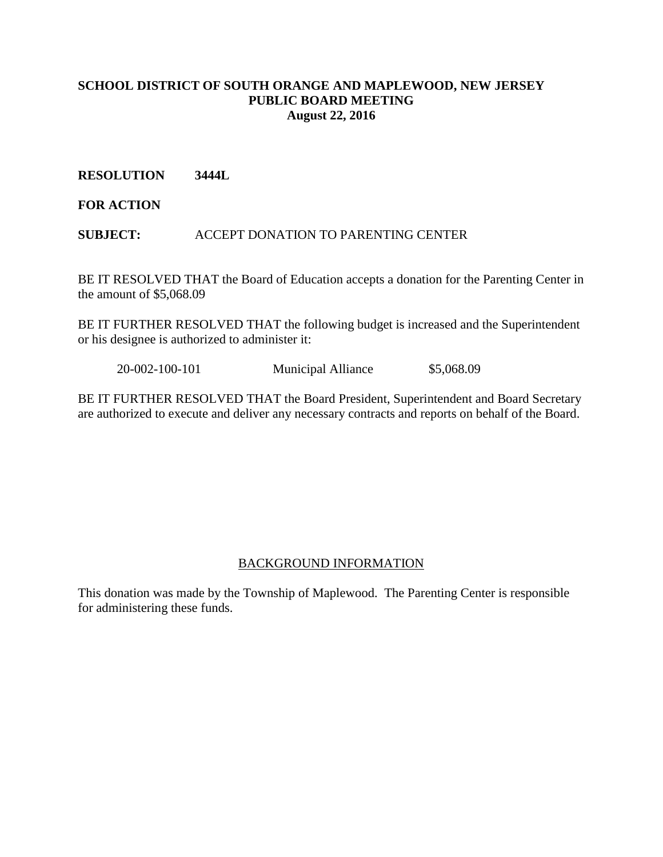## **RESOLUTION 3444L**

**FOR ACTION**

**SUBJECT:** ACCEPT DONATION TO PARENTING CENTER

BE IT RESOLVED THAT the Board of Education accepts a donation for the Parenting Center in the amount of \$5,068.09

BE IT FURTHER RESOLVED THAT the following budget is increased and the Superintendent or his designee is authorized to administer it:

20-002-100-101 Municipal Alliance \$5,068.09

BE IT FURTHER RESOLVED THAT the Board President, Superintendent and Board Secretary are authorized to execute and deliver any necessary contracts and reports on behalf of the Board.

#### BACKGROUND INFORMATION

This donation was made by the Township of Maplewood. The Parenting Center is responsible for administering these funds.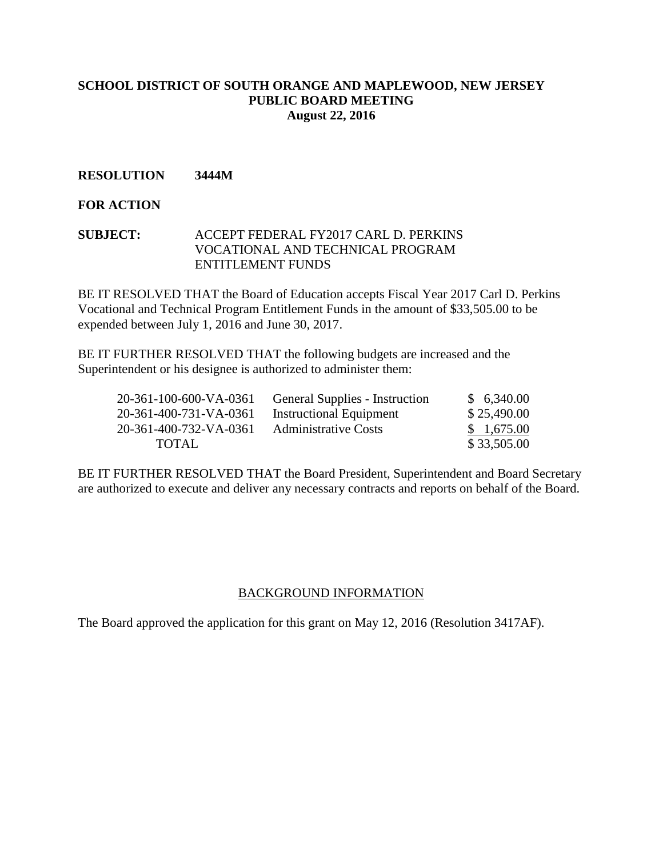## **RESOLUTION 3444M**

## **FOR ACTION**

#### **SUBJECT:** ACCEPT FEDERAL FY2017 CARL D. PERKINS VOCATIONAL AND TECHNICAL PROGRAM ENTITLEMENT FUNDS

BE IT RESOLVED THAT the Board of Education accepts Fiscal Year 2017 Carl D. Perkins Vocational and Technical Program Entitlement Funds in the amount of \$33,505.00 to be expended between July 1, 2016 and June 30, 2017.

BE IT FURTHER RESOLVED THAT the following budgets are increased and the Superintendent or his designee is authorized to administer them:

| 20-361-100-600-VA-0361 | <b>General Supplies - Instruction</b> | \$6,340.00  |
|------------------------|---------------------------------------|-------------|
| 20-361-400-731-VA-0361 | <b>Instructional Equipment</b>        | \$25,490.00 |
| 20-361-400-732-VA-0361 | <b>Administrative Costs</b>           | \$1,675.00  |
| TOTAL.                 |                                       | \$33,505.00 |

BE IT FURTHER RESOLVED THAT the Board President, Superintendent and Board Secretary are authorized to execute and deliver any necessary contracts and reports on behalf of the Board.

#### BACKGROUND INFORMATION

The Board approved the application for this grant on May 12, 2016 (Resolution 3417AF).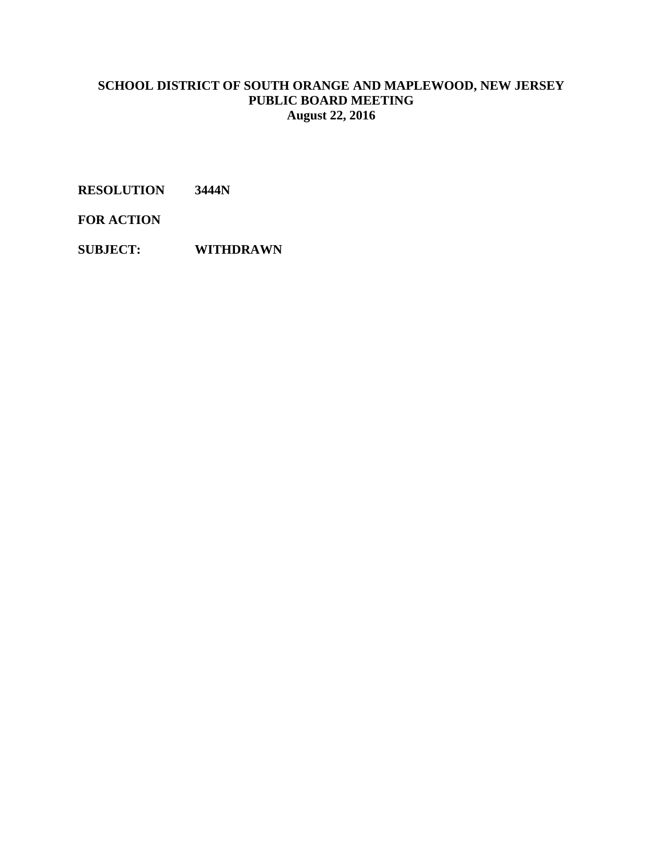**RESOLUTION 3444N**

**FOR ACTION**

**SUBJECT: WITHDRAWN**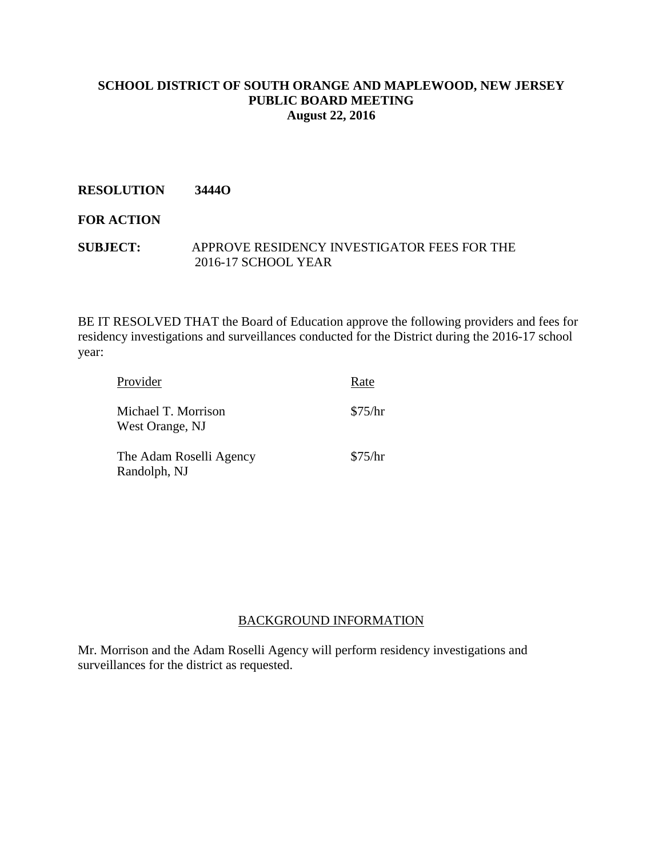# **RESOLUTION 3444O**

# **FOR ACTION**

## **SUBJECT:** APPROVE RESIDENCY INVESTIGATOR FEES FOR THE 2016-17 SCHOOL YEAR

BE IT RESOLVED THAT the Board of Education approve the following providers and fees for residency investigations and surveillances conducted for the District during the 2016-17 school year:

| Provider                                | Rate    |
|-----------------------------------------|---------|
| Michael T. Morrison<br>West Orange, NJ  | \$75/hr |
| The Adam Roselli Agency<br>Randolph, NJ | \$75/hr |

#### BACKGROUND INFORMATION

Mr. Morrison and the Adam Roselli Agency will perform residency investigations and surveillances for the district as requested.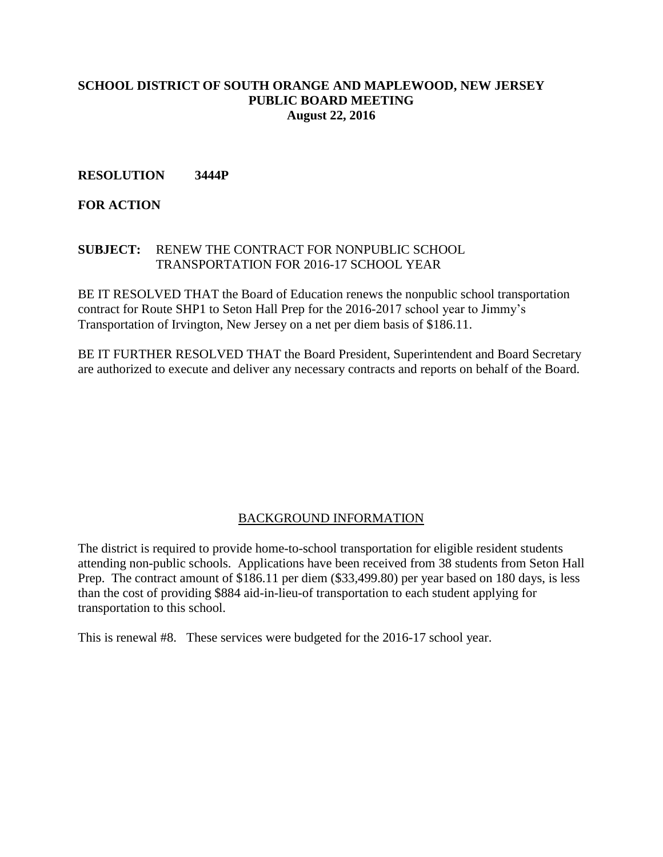## **RESOLUTION 3444P**

# **FOR ACTION**

#### **SUBJECT:** RENEW THE CONTRACT FOR NONPUBLIC SCHOOL TRANSPORTATION FOR 2016-17 SCHOOL YEAR

BE IT RESOLVED THAT the Board of Education renews the nonpublic school transportation contract for Route SHP1 to Seton Hall Prep for the 2016-2017 school year to Jimmy's Transportation of Irvington, New Jersey on a net per diem basis of \$186.11.

BE IT FURTHER RESOLVED THAT the Board President, Superintendent and Board Secretary are authorized to execute and deliver any necessary contracts and reports on behalf of the Board.

# BACKGROUND INFORMATION

The district is required to provide home-to-school transportation for eligible resident students attending non-public schools. Applications have been received from 38 students from Seton Hall Prep. The contract amount of \$186.11 per diem (\$33,499.80) per year based on 180 days, is less than the cost of providing \$884 aid-in-lieu-of transportation to each student applying for transportation to this school.

This is renewal #8. These services were budgeted for the 2016-17 school year.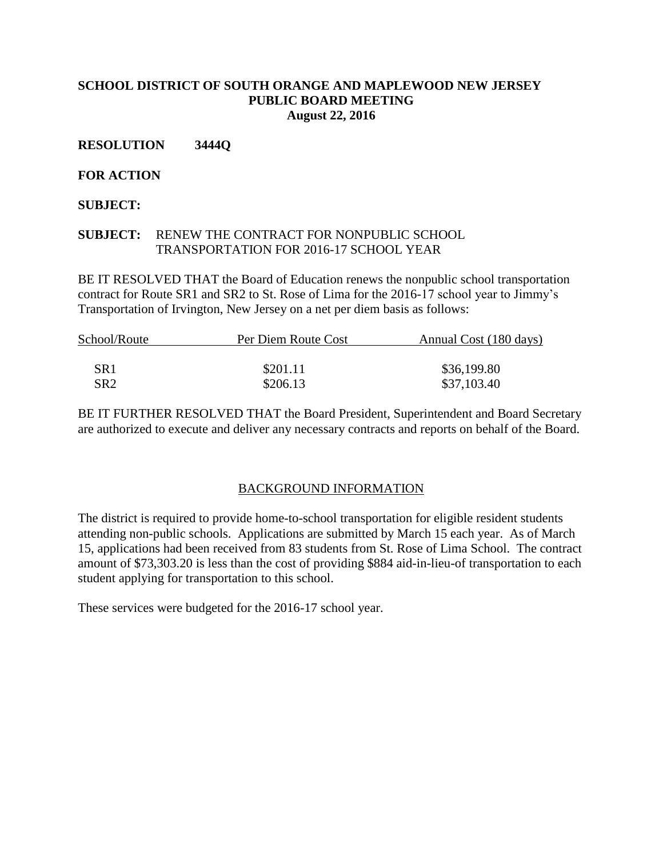# **RESOLUTION 3444Q**

# **FOR ACTION**

# **SUBJECT:**

# **SUBJECT:** RENEW THE CONTRACT FOR NONPUBLIC SCHOOL TRANSPORTATION FOR 2016-17 SCHOOL YEAR

BE IT RESOLVED THAT the Board of Education renews the nonpublic school transportation contract for Route SR1 and SR2 to St. Rose of Lima for the 2016-17 school year to Jimmy's Transportation of Irvington, New Jersey on a net per diem basis as follows:

| School/Route | Per Diem Route Cost | Annual Cost (180 days) |
|--------------|---------------------|------------------------|
|              |                     |                        |
| SR1          | \$201.11            | \$36,199.80            |
| SR2.         | \$206.13            | \$37,103.40            |

BE IT FURTHER RESOLVED THAT the Board President, Superintendent and Board Secretary are authorized to execute and deliver any necessary contracts and reports on behalf of the Board.

#### BACKGROUND INFORMATION

The district is required to provide home-to-school transportation for eligible resident students attending non-public schools. Applications are submitted by March 15 each year. As of March 15, applications had been received from 83 students from St. Rose of Lima School. The contract amount of \$73,303.20 is less than the cost of providing \$884 aid-in-lieu-of transportation to each student applying for transportation to this school.

These services were budgeted for the 2016-17 school year.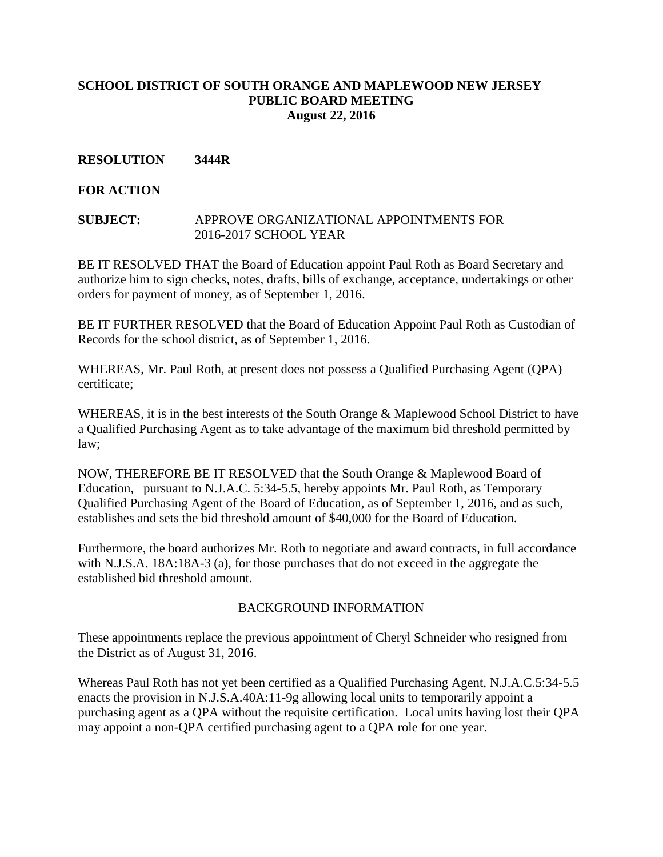# **RESOLUTION 3444R**

## **FOR ACTION**

#### **SUBJECT:** APPROVE ORGANIZATIONAL APPOINTMENTS FOR 2016-2017 SCHOOL YEAR

BE IT RESOLVED THAT the Board of Education appoint Paul Roth as Board Secretary and authorize him to sign checks, notes, drafts, bills of exchange, acceptance, undertakings or other orders for payment of money, as of September 1, 2016.

BE IT FURTHER RESOLVED that the Board of Education Appoint Paul Roth as Custodian of Records for the school district, as of September 1, 2016.

WHEREAS, Mr. Paul Roth, at present does not possess a Qualified Purchasing Agent (QPA) certificate;

WHEREAS, it is in the best interests of the South Orange & Maplewood School District to have a Qualified Purchasing Agent as to take advantage of the maximum bid threshold permitted by law;

NOW, THEREFORE BE IT RESOLVED that the South Orange & Maplewood Board of Education, pursuant to N.J.A.C. 5:34-5.5, hereby appoints Mr. Paul Roth, as Temporary Qualified Purchasing Agent of the Board of Education, as of September 1, 2016, and as such, establishes and sets the bid threshold amount of \$40,000 for the Board of Education.

Furthermore, the board authorizes Mr. Roth to negotiate and award contracts, in full accordance with N.J.S.A. 18A:18A-3 (a), for those purchases that do not exceed in the aggregate the established bid threshold amount.

#### BACKGROUND INFORMATION

These appointments replace the previous appointment of Cheryl Schneider who resigned from the District as of August 31, 2016.

Whereas Paul Roth has not yet been certified as a Qualified Purchasing Agent, N.J.A.C.5:34-5.5 enacts the provision in N.J.S.A.40A:11-9g allowing local units to temporarily appoint a purchasing agent as a QPA without the requisite certification. Local units having lost their QPA may appoint a non-QPA certified purchasing agent to a QPA role for one year.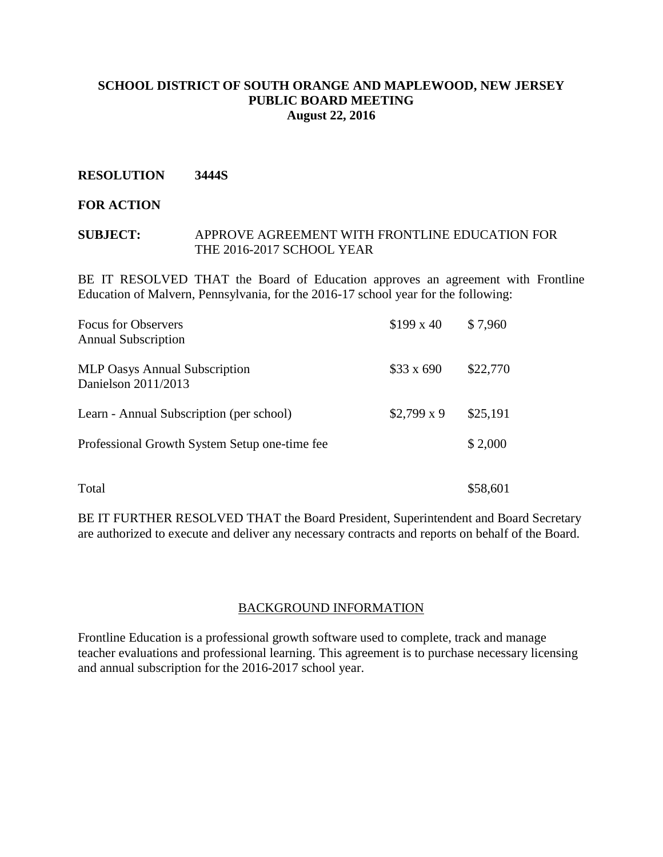#### **RESOLUTION 3444S**

#### **FOR ACTION**

#### **SUBJECT:** APPROVE AGREEMENT WITH FRONTLINE EDUCATION FOR THE 2016-2017 SCHOOL YEAR

BE IT RESOLVED THAT the Board of Education approves an agreement with Frontline Education of Malvern, Pennsylvania, for the 2016-17 school year for the following:

| <b>Focus for Observers</b><br><b>Annual Subscription</b>    | $$199 \times 40$  | \$7,960  |
|-------------------------------------------------------------|-------------------|----------|
| <b>MLP Oasys Annual Subscription</b><br>Danielson 2011/2013 | $$33 \times 690$  | \$22,770 |
| Learn - Annual Subscription (per school)                    | $$2,799 \times 9$ | \$25,191 |
| Professional Growth System Setup one-time fee               |                   | \$2,000  |
| Total                                                       |                   | \$58,601 |

BE IT FURTHER RESOLVED THAT the Board President, Superintendent and Board Secretary are authorized to execute and deliver any necessary contracts and reports on behalf of the Board.

#### BACKGROUND INFORMATION

Frontline Education is a professional growth software used to complete, track and manage teacher evaluations and professional learning. This agreement is to purchase necessary licensing and annual subscription for the 2016-2017 school year.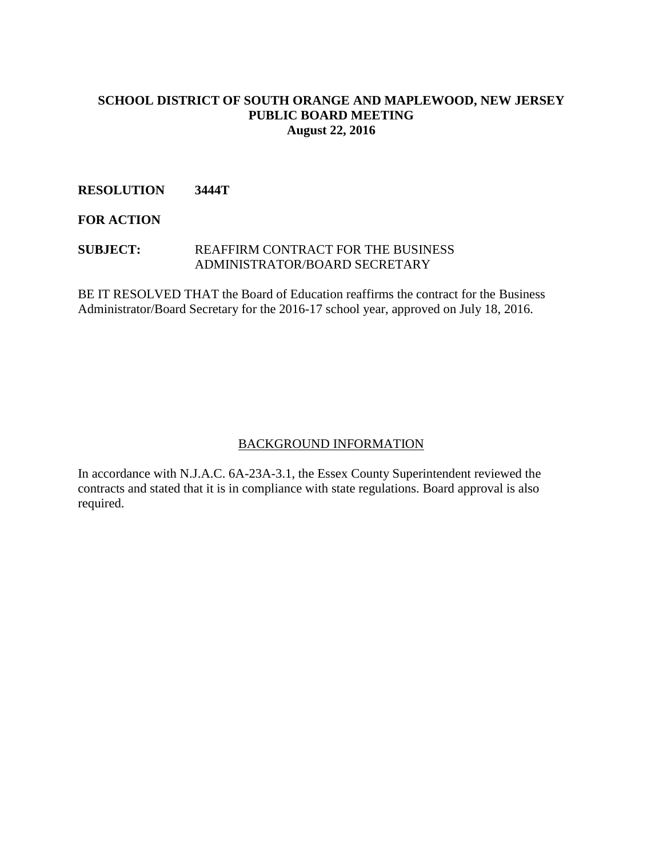## **RESOLUTION 3444T**

**FOR ACTION**

#### **SUBJECT:** REAFFIRM CONTRACT FOR THE BUSINESS ADMINISTRATOR/BOARD SECRETARY

BE IT RESOLVED THAT the Board of Education reaffirms the contract for the Business Administrator/Board Secretary for the 2016-17 school year, approved on July 18, 2016.

#### BACKGROUND INFORMATION

In accordance with N.J.A.C. 6A-23A-3.1, the Essex County Superintendent reviewed the contracts and stated that it is in compliance with state regulations. Board approval is also required.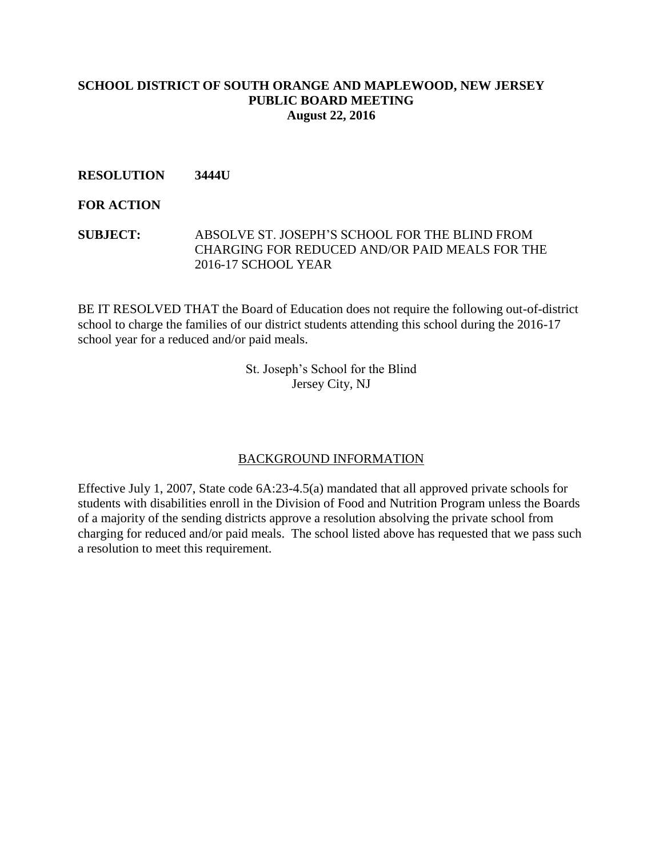## **RESOLUTION 3444U**

#### **FOR ACTION**

## **SUBJECT:** ABSOLVE ST. JOSEPH'S SCHOOL FOR THE BLIND FROM CHARGING FOR REDUCED AND/OR PAID MEALS FOR THE 2016-17 SCHOOL YEAR

BE IT RESOLVED THAT the Board of Education does not require the following out-of-district school to charge the families of our district students attending this school during the 2016-17 school year for a reduced and/or paid meals.

> St. Joseph's School for the Blind Jersey City, NJ

#### BACKGROUND INFORMATION

Effective July 1, 2007, State code 6A:23-4.5(a) mandated that all approved private schools for students with disabilities enroll in the Division of Food and Nutrition Program unless the Boards of a majority of the sending districts approve a resolution absolving the private school from charging for reduced and/or paid meals. The school listed above has requested that we pass such a resolution to meet this requirement.